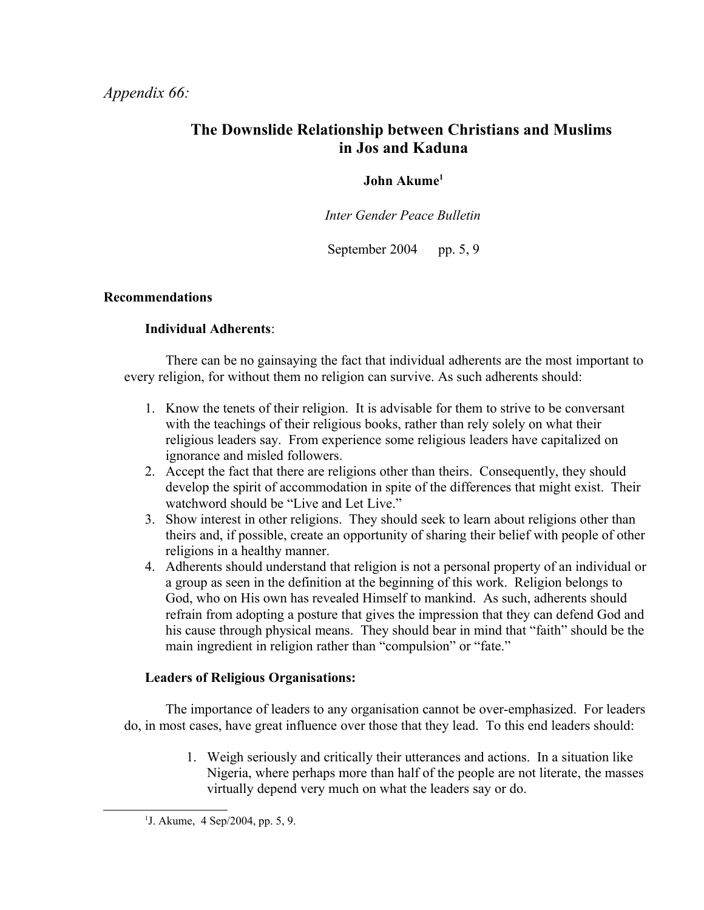## *Appendix 66:*

# **The Downslide Relationship between Christians and Muslims in Jos and Kaduna**

## **John Akume[1](#page-0-0)**

*Inter Gender Peace Bulletin*

September 2004 pp. 5, 9

### **Recommendations**

### **Individual Adherents**:

There can be no gainsaying the fact that individual adherents are the most important to every religion, for without them no religion can survive. As such adherents should:

- 1. Know the tenets of their religion. It is advisable for them to strive to be conversant with the teachings of their religious books, rather than rely solely on what their religious leaders say. From experience some religious leaders have capitalized on ignorance and misled followers.
- 2. Accept the fact that there are religions other than theirs. Consequently, they should develop the spirit of accommodation in spite of the differences that might exist. Their watchword should be "Live and Let Live."
- 3. Show interest in other religions. They should seek to learn about religions other than theirs and, if possible, create an opportunity of sharing their belief with people of other religions in a healthy manner.
- 4. Adherents should understand that religion is not a personal property of an individual or a group as seen in the definition at the beginning of this work. Religion belongs to God, who on His own has revealed Himself to mankind. As such, adherents should refrain from adopting a posture that gives the impression that they can defend God and his cause through physical means. They should bear in mind that "faith" should be the main ingredient in religion rather than "compulsion" or "fate."

#### **Leaders of Religious Organisations:**

The importance of leaders to any organisation cannot be over-emphasized. For leaders do, in most cases, have great influence over those that they lead. To this end leaders should:

> 1. Weigh seriously and critically their utterances and actions. In a situation like Nigeria, where perhaps more than half of the people are not literate, the masses virtually depend very much on what the leaders say or do.

<span id="page-0-0"></span><sup>1</sup> J. Akume, 4 Sep/2004, pp. 5, 9.